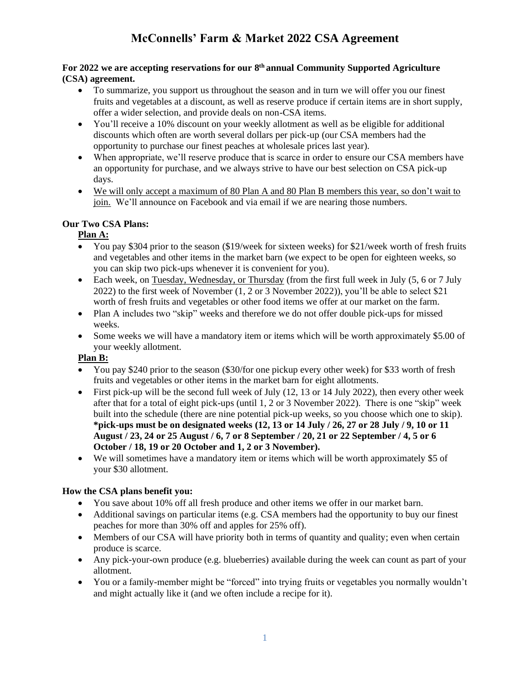### **For 2022 we are accepting reservations for our 8 th annual Community Supported Agriculture (CSA) agreement.**

- To summarize, you support us throughout the season and in turn we will offer you our finest fruits and vegetables at a discount, as well as reserve produce if certain items are in short supply, offer a wider selection, and provide deals on non-CSA items.
- You'll receive a 10% discount on your weekly allotment as well as be eligible for additional discounts which often are worth several dollars per pick-up (our CSA members had the opportunity to purchase our finest peaches at wholesale prices last year).
- When appropriate, we'll reserve produce that is scarce in order to ensure our CSA members have an opportunity for purchase, and we always strive to have our best selection on CSA pick-up days.
- We will only accept a maximum of 80 Plan A and 80 Plan B members this year, so don't wait to join. We'll announce on Facebook and via email if we are nearing those numbers.

## **Our Two CSA Plans:**

## **Plan A:**

- You pay \$304 prior to the season (\$19/week for sixteen weeks) for \$21/week worth of fresh fruits and vegetables and other items in the market barn (we expect to be open for eighteen weeks, so you can skip two pick-ups whenever it is convenient for you).
- Each week, on Tuesday, Wednesday, or Thursday (from the first full week in July  $(5, 6 \text{ or } 7 \text{ July})$ 2022) to the first week of November (1, 2 or 3 November 2022)), you'll be able to select \$21 worth of fresh fruits and vegetables or other food items we offer at our market on the farm.
- Plan A includes two "skip" weeks and therefore we do not offer double pick-ups for missed weeks.
- Some weeks we will have a mandatory item or items which will be worth approximately \$5.00 of your weekly allotment.

## **Plan B:**

- You pay \$240 prior to the season (\$30/for one pickup every other week) for \$33 worth of fresh fruits and vegetables or other items in the market barn for eight allotments.
- First pick-up will be the second full week of July  $(12, 13 \text{ or } 14 \text{ July } 2022)$ , then every other week after that for a total of eight pick-ups (until 1, 2 or 3 November 2022). There is one "skip" week built into the schedule (there are nine potential pick-up weeks, so you choose which one to skip). **\*pick-ups must be on designated weeks (12, 13 or 14 July / 26, 27 or 28 July / 9, 10 or 11 August / 23, 24 or 25 August / 6, 7 or 8 September / 20, 21 or 22 September / 4, 5 or 6 October / 18, 19 or 20 October and 1, 2 or 3 November).**
- We will sometimes have a mandatory item or items which will be worth approximately \$5 of your \$30 allotment.

## **How the CSA plans benefit you:**

- You save about 10% off all fresh produce and other items we offer in our market barn.
- Additional savings on particular items (e.g. CSA members had the opportunity to buy our finest peaches for more than 30% off and apples for 25% off).
- Members of our CSA will have priority both in terms of quantity and quality; even when certain produce is scarce.
- Any pick-your-own produce (e.g. blueberries) available during the week can count as part of your allotment.
- You or a family-member might be "forced" into trying fruits or vegetables you normally wouldn't and might actually like it (and we often include a recipe for it).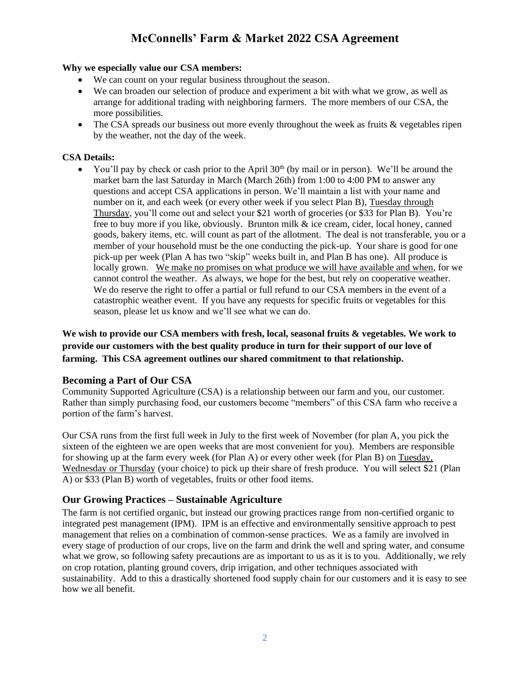#### **Why we especially value our CSA members:**

- We can count on your regular business throughout the season.
- We can broaden our selection of produce and experiment a bit with what we grow, as well as arrange for additional trading with neighboring farmers. The more members of our CSA, the more possibilities.
- The CSA spreads our business out more evenly throughout the week as fruits & vegetables ripen by the weather, not the day of the week.

### **CSA Details:**

You'll pay by check or cash prior to the April 30<sup>th</sup> (by mail or in person). We'll be around the market barn the last Saturday in March (March 26th) from 1:00 to 4:00 PM to answer any questions and accept CSA applications in person. We'll maintain a list with your name and number on it, and each week (or every other week if you select Plan B), Tuesday through Thursday, you'll come out and select your \$21 worth of groceries (or \$33 for Plan B). You're free to buy more if you like, obviously. Brunton milk & ice cream, cider, local honey, canned goods, bakery items, etc. will count as part of the allotment. The deal is not transferable, you or a member of your household must be the one conducting the pick-up. Your share is good for one pick-up per week (Plan A has two "skip" weeks built in, and Plan B has one). All produce is locally grown. We make no promises on what produce we will have available and when, for we cannot control the weather. As always, we hope for the best, but rely on cooperative weather. We do reserve the right to offer a partial or full refund to our CSA members in the event of a catastrophic weather event. If you have any requests for specific fruits or vegetables for this season, please let us know and we'll see what we can do.

**We wish to provide our CSA members with fresh, local, seasonal fruits & vegetables. We work to provide our customers with the best quality produce in turn for their support of our love of farming. This CSA agreement outlines our shared commitment to that relationship.**

#### **Becoming a Part of Our CSA**

Community Supported Agriculture (CSA) is a relationship between our farm and you, our customer. Rather than simply purchasing food, our customers become "members" of this CSA farm who receive a portion of the farm's harvest.

Our CSA runs from the first full week in July to the first week of November (for plan A, you pick the sixteen of the eighteen we are open weeks that are most convenient for you). Members are responsible for showing up at the farm every week (for Plan A) or every other week (for Plan B) on Tuesday, Wednesday or Thursday (your choice) to pick up their share of fresh produce. You will select \$21 (Plan A) or \$33 (Plan B) worth of vegetables, fruits or other food items.

## **Our Growing Practices – Sustainable Agriculture**

The farm is not certified organic, but instead our growing practices range from non-certified organic to integrated pest management (IPM). IPM is an effective and environmentally sensitive approach to pest management that relies on a combination of common-sense practices. We as a family are involved in every stage of production of our crops, live on the farm and drink the well and spring water, and consume what we grow, so following safety precautions are as important to us as it is to you. Additionally, we rely on crop rotation, planting ground covers, drip irrigation, and other techniques associated with sustainability. Add to this a drastically shortened food supply chain for our customers and it is easy to see how we all benefit.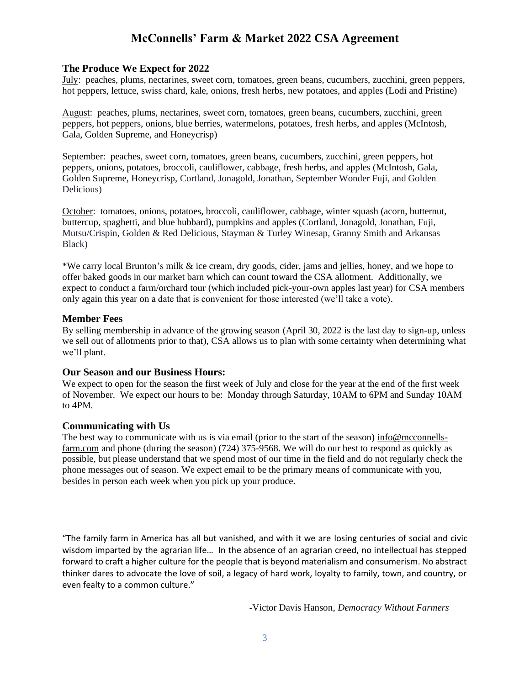#### **The Produce We Expect for 2022**

July: peaches, plums, nectarines, sweet corn, tomatoes, green beans, cucumbers, zucchini, green peppers, hot peppers, lettuce, swiss chard, kale, onions, fresh herbs, new potatoes, and apples (Lodi and Pristine)

August: peaches, plums, nectarines, sweet corn, tomatoes, green beans, cucumbers, zucchini, green peppers, hot peppers, onions, blue berries, watermelons, potatoes, fresh herbs, and apples (McIntosh, Gala, Golden Supreme, and Honeycrisp)

September: peaches, sweet corn, tomatoes, green beans, cucumbers, zucchini, green peppers, hot peppers, onions, potatoes, broccoli, cauliflower, cabbage, fresh herbs, and apples (McIntosh, Gala, Golden Supreme, Honeycrisp, Cortland, Jonagold, Jonathan, September Wonder Fuji, and Golden Delicious)

October: tomatoes, onions, potatoes, broccoli, cauliflower, cabbage, winter squash (acorn, butternut, buttercup, spaghetti, and blue hubbard), pumpkins and apples (Cortland, Jonagold, Jonathan, Fuji, Mutsu/Crispin, Golden & Red Delicious, Stayman & Turley Winesap, Granny Smith and Arkansas Black)

\*We carry local Brunton's milk & ice cream, dry goods, cider, jams and jellies, honey, and we hope to offer baked goods in our market barn which can count toward the CSA allotment. Additionally, we expect to conduct a farm/orchard tour (which included pick-your-own apples last year) for CSA members only again this year on a date that is convenient for those interested (we'll take a vote).

#### **Member Fees**

By selling membership in advance of the growing season (April 30, 2022 is the last day to sign-up, unless we sell out of allotments prior to that), CSA allows us to plan with some certainty when determining what we'll plant.

#### **Our Season and our Business Hours:**

We expect to open for the season the first week of July and close for the year at the end of the first week of November. We expect our hours to be: Monday through Saturday, 10AM to 6PM and Sunday 10AM to 4PM.

#### **Communicating with Us**

The best way to communicate with us is via email (prior to the start of the season) info@mcconnellsfarm.com and phone (during the season) (724) 375-9568. We will do our best to respond as quickly as possible, but please understand that we spend most of our time in the field and do not regularly check the phone messages out of season. We expect email to be the primary means of communicate with you, besides in person each week when you pick up your produce.

"The family farm in America has all but vanished, and with it we are losing centuries of social and civic wisdom imparted by the agrarian life… In the absence of an agrarian creed, no intellectual has stepped forward to craft a higher culture for the people that is beyond materialism and consumerism. No abstract thinker dares to advocate the love of soil, a legacy of hard work, loyalty to family, town, and country, or even fealty to a common culture."

-Victor Davis Hanson, *Democracy Without Farmers*